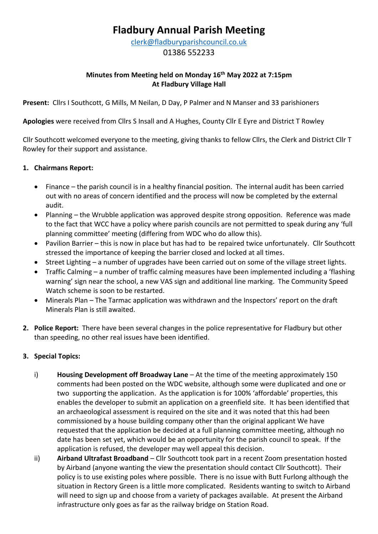# **Fladbury Annual Parish Meeting**

[clerk@fladburyparishcouncil.co.uk](mailto:clerk@fladburyparishcouncil.co.uk)

01386 552233

## **Minutes from Meeting held on Monday 16th May 2022 at 7:15pm At Fladbury Village Hall**

**Present:** Cllrs I Southcott, G Mills, M Neilan, D Day, P Palmer and N Manser and 33 parishioners

**Apologies** were received from Cllrs S Insall and A Hughes, County Cllr E Eyre and District T Rowley

Cllr Southcott welcomed everyone to the meeting, giving thanks to fellow Cllrs, the Clerk and District Cllr T Rowley for their support and assistance.

### **1. Chairmans Report:**

- Finance the parish council is in a healthy financial position. The internal audit has been carried out with no areas of concern identified and the process will now be completed by the external audit.
- Planning the Wrubble application was approved despite strong opposition. Reference was made to the fact that WCC have a policy where parish councils are not permitted to speak during any 'full planning committee' meeting (differing from WDC who do allow this).
- Pavilion Barrier this is now in place but has had to be repaired twice unfortunately. Cllr Southcott stressed the importance of keeping the barrier closed and locked at all times.
- Street Lighting a number of upgrades have been carried out on some of the village street lights.
- Traffic Calming a number of traffic calming measures have been implemented including a 'flashing warning' sign near the school, a new VAS sign and additional line marking. The Community Speed Watch scheme is soon to be restarted.
- Minerals Plan The Tarmac application was withdrawn and the Inspectors' report on the draft Minerals Plan is still awaited.
- **2. Police Report:** There have been several changes in the police representative for Fladbury but other than speeding, no other real issues have been identified.

#### **3. Special Topics:**

- i) **Housing Development off Broadway Lane** At the time of the meeting approximately 150 comments had been posted on the WDC website, although some were duplicated and one or two supporting the application. As the application is for 100% 'affordable' properties, this enables the developer to submit an application on a greenfield site. It has been identified that an archaeological assessment is required on the site and it was noted that this had been commissioned by a house building company other than the original applicant We have requested that the application be decided at a full planning committee meeting, although no date has been set yet, which would be an opportunity for the parish council to speak. If the application is refused, the developer may well appeal this decision.
- ii) **Airband Ultrafast Broadband** Cllr Southcott took part in a recent Zoom presentation hosted by Airband (anyone wanting the view the presentation should contact Cllr Southcott). Their policy is to use existing poles where possible. There is no issue with Butt Furlong although the situation in Rectory Green is a little more complicated. Residents wanting to switch to Airband will need to sign up and choose from a variety of packages available. At present the Airband infrastructure only goes as far as the railway bridge on Station Road.